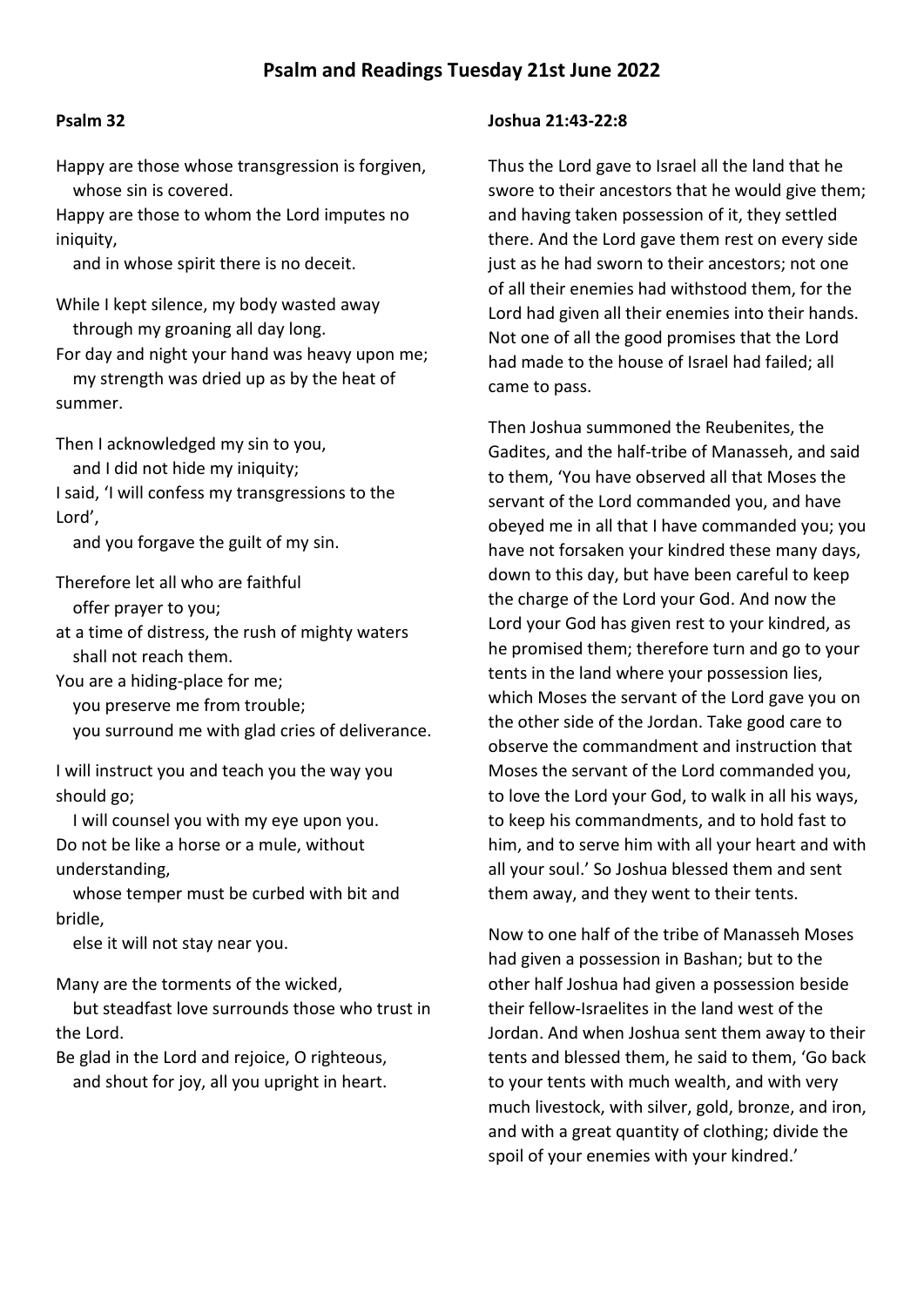## **Psalm and Readings Tuesday 21st June 2022**

## **Psalm 32**

Happy are those whose transgression is forgiven, whose sin is covered.

Happy are those to whom the Lord imputes no iniquity,

and in whose spirit there is no deceit.

- While I kept silence, my body wasted away through my groaning all day long.
- For day and night your hand was heavy upon me; my strength was dried up as by the heat of summer.

Then I acknowledged my sin to you, and I did not hide my iniquity;

I said, 'I will confess my transgressions to the Lord',

and you forgave the guilt of my sin.

Therefore let all who are faithful offer prayer to you;

at a time of distress, the rush of mighty waters shall not reach them.

You are a hiding-place for me;

you preserve me from trouble;

you surround me with glad cries of deliverance.

I will instruct you and teach you the way you should go;

 I will counsel you with my eye upon you. Do not be like a horse or a mule, without understanding,

 whose temper must be curbed with bit and bridle,

else it will not stay near you.

Many are the torments of the wicked,

 but steadfast love surrounds those who trust in the Lord.

Be glad in the Lord and rejoice, O righteous, and shout for joy, all you upright in heart.

## **Joshua 21:43-22:8**

Thus the Lord gave to Israel all the land that he swore to their ancestors that he would give them; and having taken possession of it, they settled there. And the Lord gave them rest on every side just as he had sworn to their ancestors; not one of all their enemies had withstood them, for the Lord had given all their enemies into their hands. Not one of all the good promises that the Lord had made to the house of Israel had failed; all came to pass.

Then Joshua summoned the Reubenites, the Gadites, and the half-tribe of Manasseh, and said to them, 'You have observed all that Moses the servant of the Lord commanded you, and have obeyed me in all that I have commanded you; you have not forsaken your kindred these many days, down to this day, but have been careful to keep the charge of the Lord your God. And now the Lord your God has given rest to your kindred, as he promised them; therefore turn and go to your tents in the land where your possession lies, which Moses the servant of the Lord gave you on the other side of the Jordan. Take good care to observe the commandment and instruction that Moses the servant of the Lord commanded you, to love the Lord your God, to walk in all his ways, to keep his commandments, and to hold fast to him, and to serve him with all your heart and with all your soul.' So Joshua blessed them and sent them away, and they went to their tents.

Now to one half of the tribe of Manasseh Moses had given a possession in Bashan; but to the other half Joshua had given a possession beside their fellow-Israelites in the land west of the Jordan. And when Joshua sent them away to their tents and blessed them, he said to them, 'Go back to your tents with much wealth, and with very much livestock, with silver, gold, bronze, and iron, and with a great quantity of clothing; divide the spoil of your enemies with your kindred.'